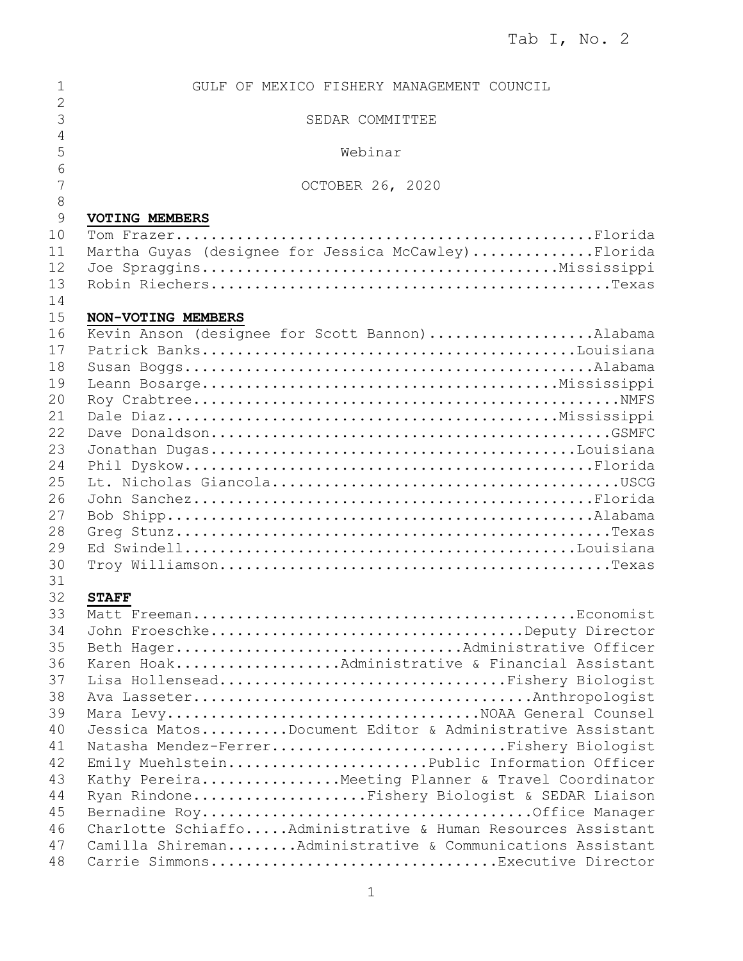| 1                   | GULF OF MEXICO FISHERY MANAGEMENT COUNCIL                                            |
|---------------------|--------------------------------------------------------------------------------------|
| $\overline{2}$      |                                                                                      |
| 3<br>$\overline{4}$ | SEDAR COMMITTEE                                                                      |
| 5                   | Webinar                                                                              |
| 6                   |                                                                                      |
| 7                   | OCTOBER 26, 2020                                                                     |
| 8<br>9              |                                                                                      |
| 10                  | <b>VOTING MEMBERS</b>                                                                |
| 11                  | Martha Guyas (designee for Jessica McCawley) Florida                                 |
| 12                  |                                                                                      |
| 13                  |                                                                                      |
| 14                  |                                                                                      |
| 15                  | NON-VOTING MEMBERS                                                                   |
| 16                  | Kevin Anson (designee for Scott Bannon)Alabama                                       |
| 17<br>18            |                                                                                      |
| 19                  |                                                                                      |
| 20                  |                                                                                      |
| 21                  |                                                                                      |
| 22                  |                                                                                      |
| 23                  |                                                                                      |
| 24                  |                                                                                      |
| 25                  |                                                                                      |
| 26                  |                                                                                      |
| 27                  |                                                                                      |
| 28                  |                                                                                      |
| 29<br>30            |                                                                                      |
| 31                  |                                                                                      |
| 32                  | <b>STAFF</b>                                                                         |
| 33                  |                                                                                      |
| 34                  | John FroeschkeDeputy Director                                                        |
| 35                  | Beth HagerAdministrative Officer                                                     |
| 36                  | Karen HoakAdministrative & Financial Assistant                                       |
| 37                  | Lisa HollenseadFishery Biologist                                                     |
| 38                  |                                                                                      |
| 39                  | Mara LevyNOAA General Counsel                                                        |
| 40                  | Jessica MatosDocument Editor & Administrative Assistant                              |
| 41<br>42            | Natasha Mendez-FerrerFishery Biologist<br>Emily MuehlsteinPublic Information Officer |
| 43                  | Kathy PereiraMeeting Planner & Travel Coordinator                                    |
| 44                  | Ryan RindoneFishery Biologist & SEDAR Liaison                                        |
| 45                  |                                                                                      |
| 46                  | Charlotte SchiaffoAdministrative & Human Resources Assistant                         |
| 47                  | Camilla ShiremanAdministrative & Communications Assistant                            |
| 48                  | Carrie SimmonsExecutive Director                                                     |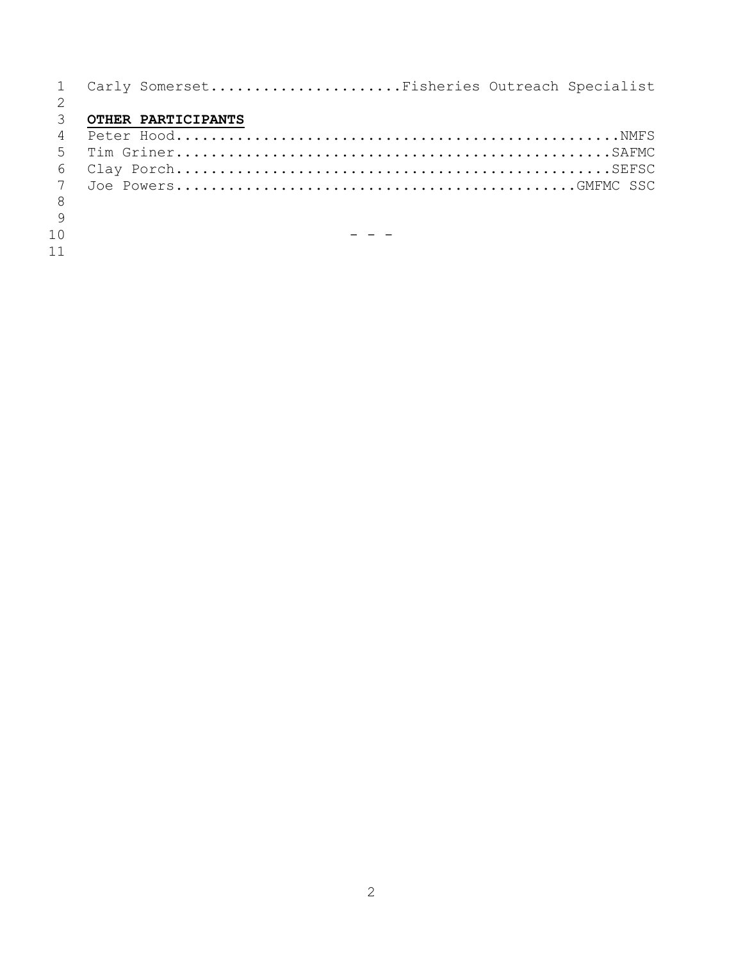|     | Carly SomersetFisheries Outreach Specialist |
|-----|---------------------------------------------|
|     |                                             |
| 3   | OTHER PARTICIPANTS                          |
| 4   |                                             |
| 5   |                                             |
| 6   |                                             |
| 7   |                                             |
| - 8 |                                             |
|     |                                             |
| 10  |                                             |
|     |                                             |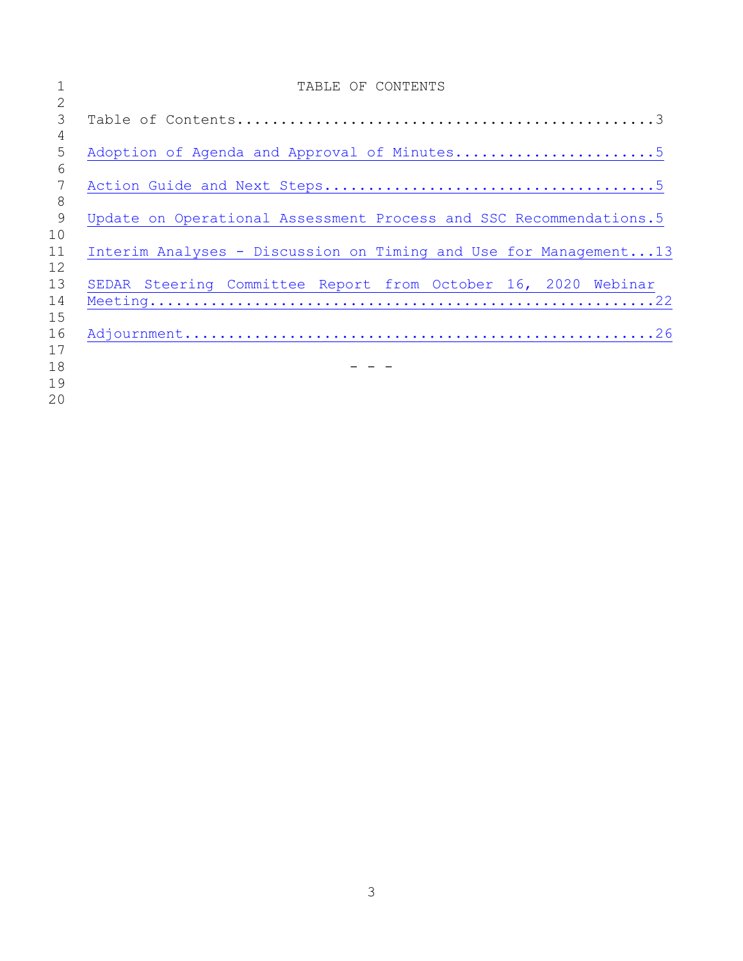|    | TABLE OF CONTENTS                                                  |
|----|--------------------------------------------------------------------|
| 2  |                                                                    |
| 3  |                                                                    |
| 4  |                                                                    |
| 5  |                                                                    |
| 6  |                                                                    |
| 7  |                                                                    |
| 8  |                                                                    |
| 9  | Update on Operational Assessment Process and SSC Recommendations.5 |
| 10 |                                                                    |
| 11 | Interim Analyses - Discussion on Timing and Use for Management13   |
| 12 |                                                                    |
| 13 | SEDAR Steering Committee Report from October 16, 2020 Webinar      |
| 14 |                                                                    |
| 15 |                                                                    |
| 16 |                                                                    |
| 17 |                                                                    |
| 18 |                                                                    |
| 19 |                                                                    |
| 20 |                                                                    |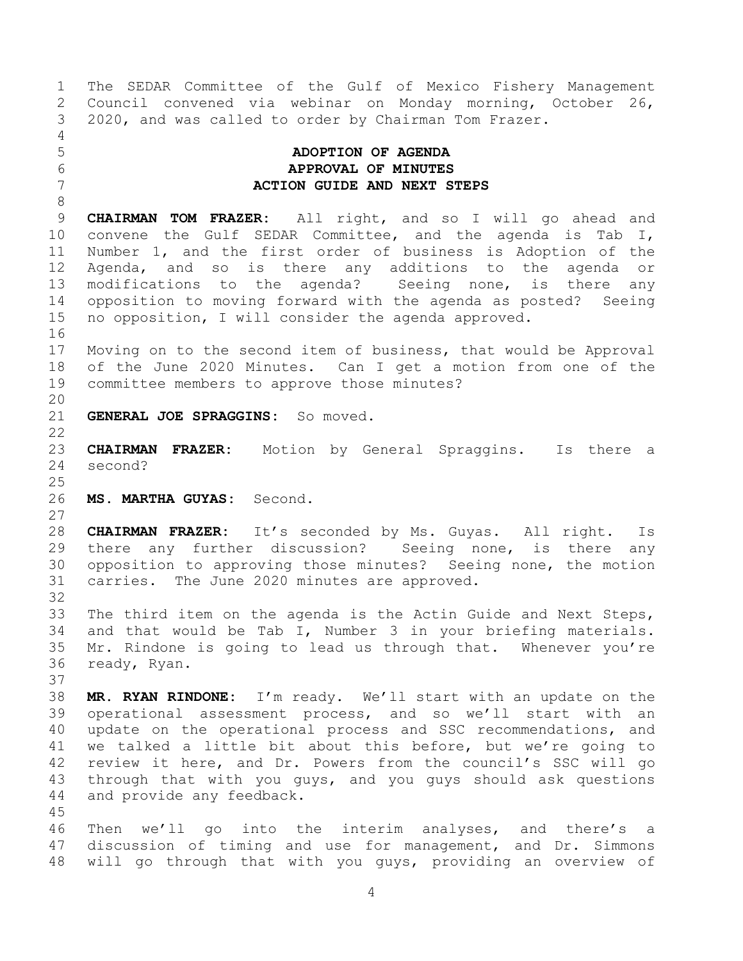<span id="page-3-1"></span><span id="page-3-0"></span> The SEDAR Committee of the Gulf of Mexico Fishery Management Council convened via webinar on Monday morning, October 26, 2020, and was called to order by Chairman Tom Frazer. **ADOPTION OF AGENDA APPROVAL OF MINUTES ACTION GUIDE AND NEXT STEPS CHAIRMAN TOM FRAZER:** All right, and so I will go ahead and convene the Gulf SEDAR Committee, and the agenda is Tab I, Number 1, and the first order of business is Adoption of the Agenda, and so is there any additions to the agenda or modifications to the agenda? Seeing none, is there any opposition to moving forward with the agenda as posted? Seeing no opposition, I will consider the agenda approved. Moving on to the second item of business, that would be Approval of the June 2020 Minutes. Can I get a motion from one of the committee members to approve those minutes? **GENERAL JOE SPRAGGINS:** So moved. **CHAIRMAN FRAZER:** Motion by General Spraggins. Is there a second? **MS. MARTHA GUYAS:** Second. **CHAIRMAN FRAZER:** It's seconded by Ms. Guyas. All right. Is there any further discussion? Seeing none, is there any opposition to approving those minutes? Seeing none, the motion carries. The June 2020 minutes are approved. The third item on the agenda is the Actin Guide and Next Steps, and that would be Tab I, Number 3 in your briefing materials. Mr. Rindone is going to lead us through that. Whenever you're ready, Ryan. **MR. RYAN RINDONE:** I'm ready. We'll start with an update on the operational assessment process, and so we'll start with an update on the operational process and SSC recommendations, and we talked a little bit about this before, but we're going to review it here, and Dr. Powers from the council's SSC will go through that with you guys, and you guys should ask questions and provide any feedback. Then we'll go into the interim analyses, and there's a discussion of timing and use for management, and Dr. Simmons will go through that with you guys, providing an overview of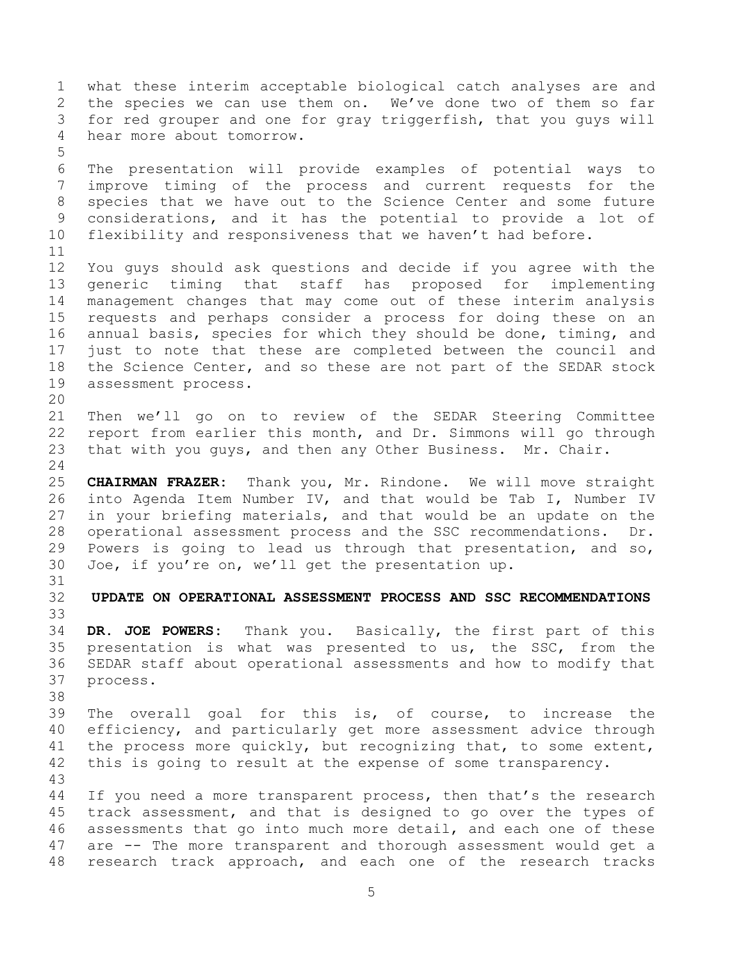<span id="page-4-0"></span> what these interim acceptable biological catch analyses are and the species we can use them on. We've done two of them so far for red grouper and one for gray triggerfish, that you guys will hear more about tomorrow. The presentation will provide examples of potential ways to improve timing of the process and current requests for the species that we have out to the Science Center and some future considerations, and it has the potential to provide a lot of flexibility and responsiveness that we haven't had before. You guys should ask questions and decide if you agree with the generic timing that staff has proposed for implementing management changes that may come out of these interim analysis requests and perhaps consider a process for doing these on an annual basis, species for which they should be done, timing, and just to note that these are completed between the council and the Science Center, and so these are not part of the SEDAR stock assessment process. Then we'll go on to review of the SEDAR Steering Committee report from earlier this month, and Dr. Simmons will go through that with you guys, and then any Other Business. Mr. Chair. **CHAIRMAN FRAZER:** Thank you, Mr. Rindone. We will move straight into Agenda Item Number IV, and that would be Tab I, Number IV in your briefing materials, and that would be an update on the operational assessment process and the SSC recommendations. Dr. Powers is going to lead us through that presentation, and so, Joe, if you're on, we'll get the presentation up. **UPDATE ON OPERATIONAL ASSESSMENT PROCESS AND SSC RECOMMENDATIONS DR. JOE POWERS:** Thank you. Basically, the first part of this presentation is what was presented to us, the SSC, from the SEDAR staff about operational assessments and how to modify that process. The overall goal for this is, of course, to increase the efficiency, and particularly get more assessment advice through the process more quickly, but recognizing that, to some extent, this is going to result at the expense of some transparency. 44 If you need a more transparent process, then that's the research track assessment, and that is designed to go over the types of assessments that go into much more detail, and each one of these are -- The more transparent and thorough assessment would get a research track approach, and each one of the research tracks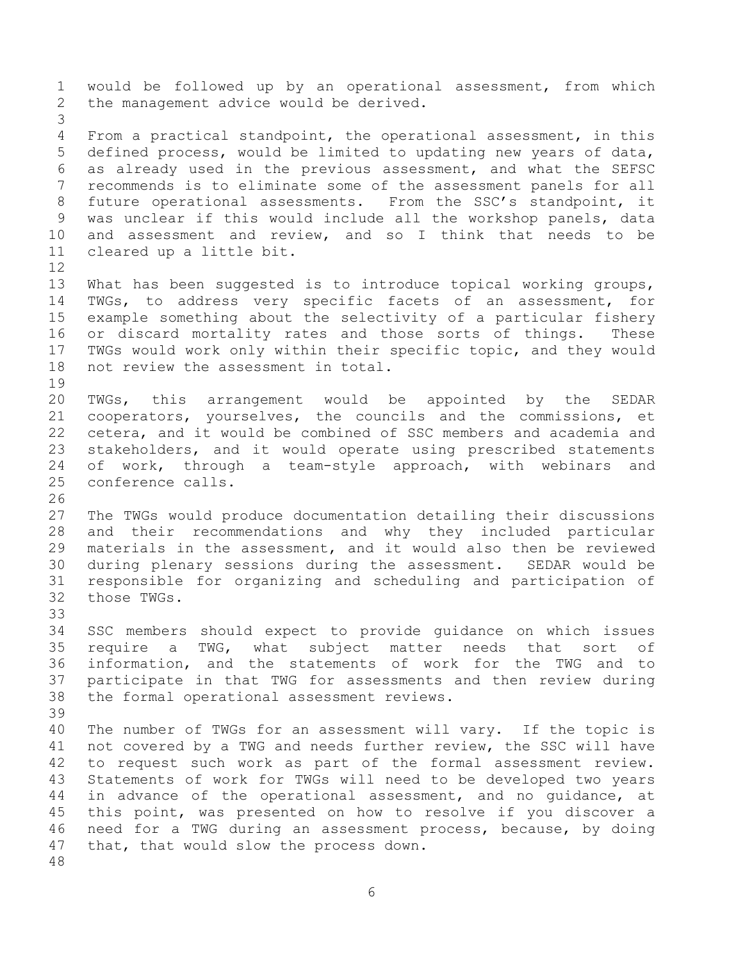would be followed up by an operational assessment, from which the management advice would be derived. From a practical standpoint, the operational assessment, in this defined process, would be limited to updating new years of data, as already used in the previous assessment, and what the SEFSC recommends is to eliminate some of the assessment panels for all future operational assessments. From the SSC's standpoint, it was unclear if this would include all the workshop panels, data and assessment and review, and so I think that needs to be cleared up a little bit. What has been suggested is to introduce topical working groups, TWGs, to address very specific facets of an assessment, for example something about the selectivity of a particular fishery or discard mortality rates and those sorts of things. These TWGs would work only within their specific topic, and they would not review the assessment in total. TWGs, this arrangement would be appointed by the SEDAR cooperators, yourselves, the councils and the commissions, et cetera, and it would be combined of SSC members and academia and stakeholders, and it would operate using prescribed statements of work, through a team-style approach, with webinars and conference calls. The TWGs would produce documentation detailing their discussions and their recommendations and why they included particular materials in the assessment, and it would also then be reviewed during plenary sessions during the assessment. SEDAR would be responsible for organizing and scheduling and participation of those TWGs. SSC members should expect to provide guidance on which issues require a TWG, what subject matter needs that sort of information, and the statements of work for the TWG and to participate in that TWG for assessments and then review during the formal operational assessment reviews. The number of TWGs for an assessment will vary. If the topic is not covered by a TWG and needs further review, the SSC will have to request such work as part of the formal assessment review. Statements of work for TWGs will need to be developed two years in advance of the operational assessment, and no guidance, at this point, was presented on how to resolve if you discover a need for a TWG during an assessment process, because, by doing that, that would slow the process down.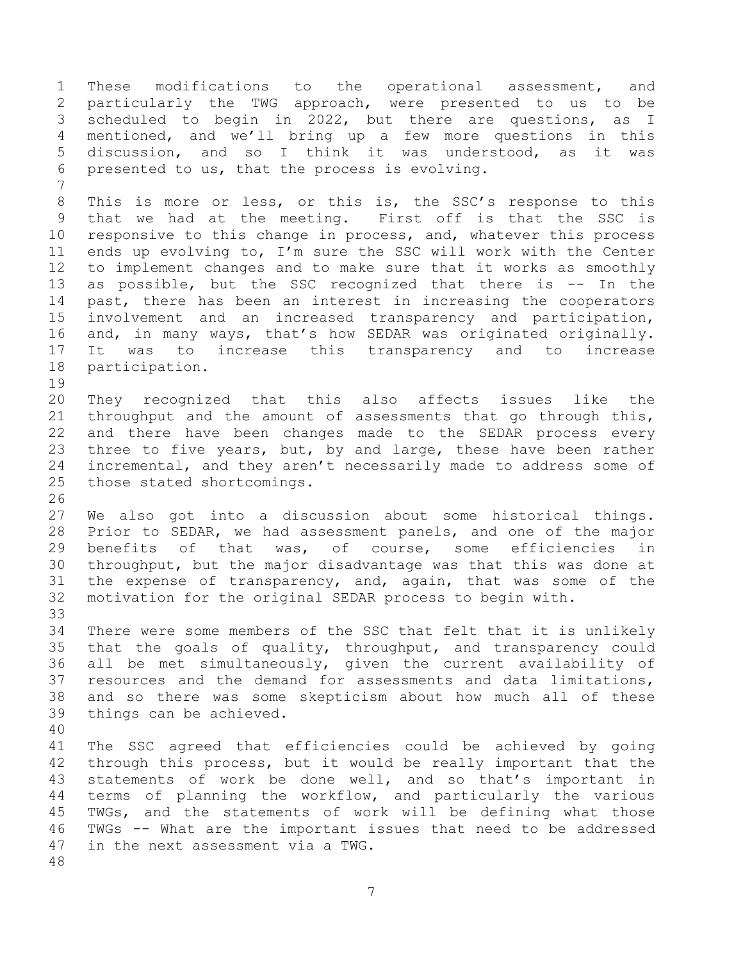These modifications to the operational assessment, and particularly the TWG approach, were presented to us to be scheduled to begin in 2022, but there are questions, as I mentioned, and we'll bring up a few more questions in this discussion, and so I think it was understood, as it was presented to us, that the process is evolving. 8 This is more or less, or this is, the SSC's response to this that we had at the meeting. First off is that the SSC is responsive to this change in process, and, whatever this process ends up evolving to, I'm sure the SSC will work with the Center to implement changes and to make sure that it works as smoothly 13 as possible, but the SSC recognized that there is -- In the past, there has been an interest in increasing the cooperators involvement and an increased transparency and participation, and, in many ways, that's how SEDAR was originated originally. It was to increase this transparency and to increase participation. They recognized that this also affects issues like the throughput and the amount of assessments that go through this, and there have been changes made to the SEDAR process every three to five years, but, by and large, these have been rather incremental, and they aren't necessarily made to address some of those stated shortcomings. We also got into a discussion about some historical things. Prior to SEDAR, we had assessment panels, and one of the major benefits of that was, of course, some efficiencies in throughput, but the major disadvantage was that this was done at the expense of transparency, and, again, that was some of the motivation for the original SEDAR process to begin with. There were some members of the SSC that felt that it is unlikely that the goals of quality, throughput, and transparency could all be met simultaneously, given the current availability of resources and the demand for assessments and data limitations, and so there was some skepticism about how much all of these things can be achieved. The SSC agreed that efficiencies could be achieved by going through this process, but it would be really important that the statements of work be done well, and so that's important in terms of planning the workflow, and particularly the various TWGs, and the statements of work will be defining what those TWGs -- What are the important issues that need to be addressed in the next assessment via a TWG.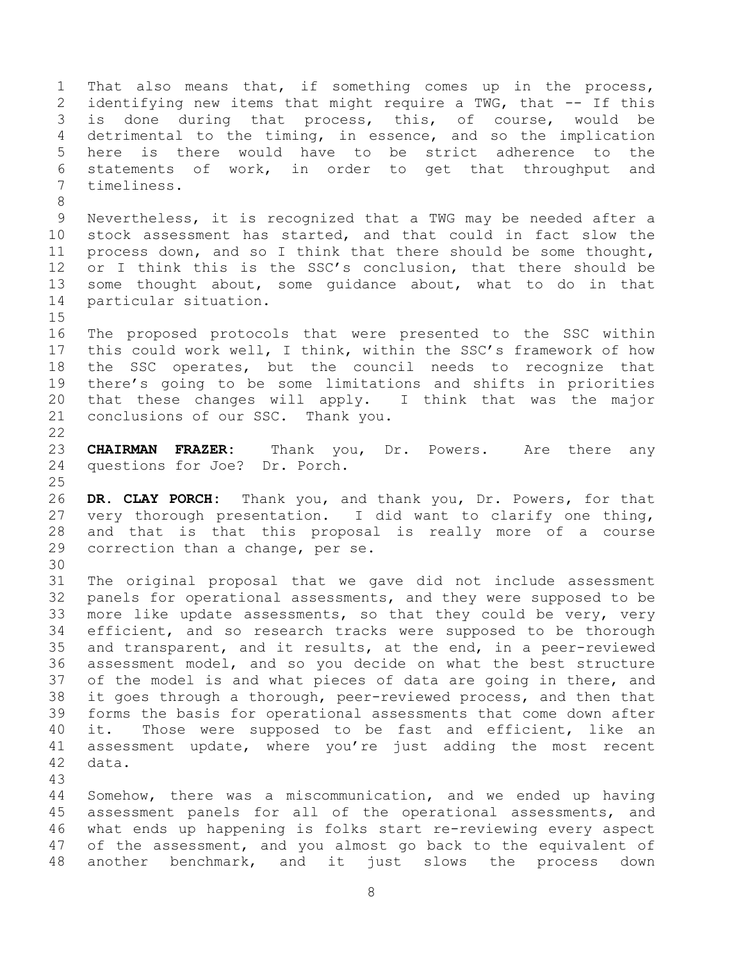That also means that, if something comes up in the process, identifying new items that might require a TWG, that -- If this is done during that process, this, of course, would be detrimental to the timing, in essence, and so the implication here is there would have to be strict adherence to the statements of work, in order to get that throughput and timeliness. Nevertheless, it is recognized that a TWG may be needed after a stock assessment has started, and that could in fact slow the process down, and so I think that there should be some thought, 12 or I think this is the SSC's conclusion, that there should be some thought about, some guidance about, what to do in that particular situation. The proposed protocols that were presented to the SSC within this could work well, I think, within the SSC's framework of how the SSC operates, but the council needs to recognize that there's going to be some limitations and shifts in priorities that these changes will apply. I think that was the major conclusions of our SSC. Thank you. **CHAIRMAN FRAZER:** Thank you, Dr. Powers. Are there any questions for Joe? Dr. Porch. **DR. CLAY PORCH:** Thank you, and thank you, Dr. Powers, for that very thorough presentation. I did want to clarify one thing, and that is that this proposal is really more of a course correction than a change, per se. The original proposal that we gave did not include assessment panels for operational assessments, and they were supposed to be more like update assessments, so that they could be very, very efficient, and so research tracks were supposed to be thorough and transparent, and it results, at the end, in a peer-reviewed assessment model, and so you decide on what the best structure of the model is and what pieces of data are going in there, and it goes through a thorough, peer-reviewed process, and then that forms the basis for operational assessments that come down after it. Those were supposed to be fast and efficient, like an assessment update, where you're just adding the most recent data. Somehow, there was a miscommunication, and we ended up having assessment panels for all of the operational assessments, and what ends up happening is folks start re-reviewing every aspect

 of the assessment, and you almost go back to the equivalent of another benchmark, and it just slows the process down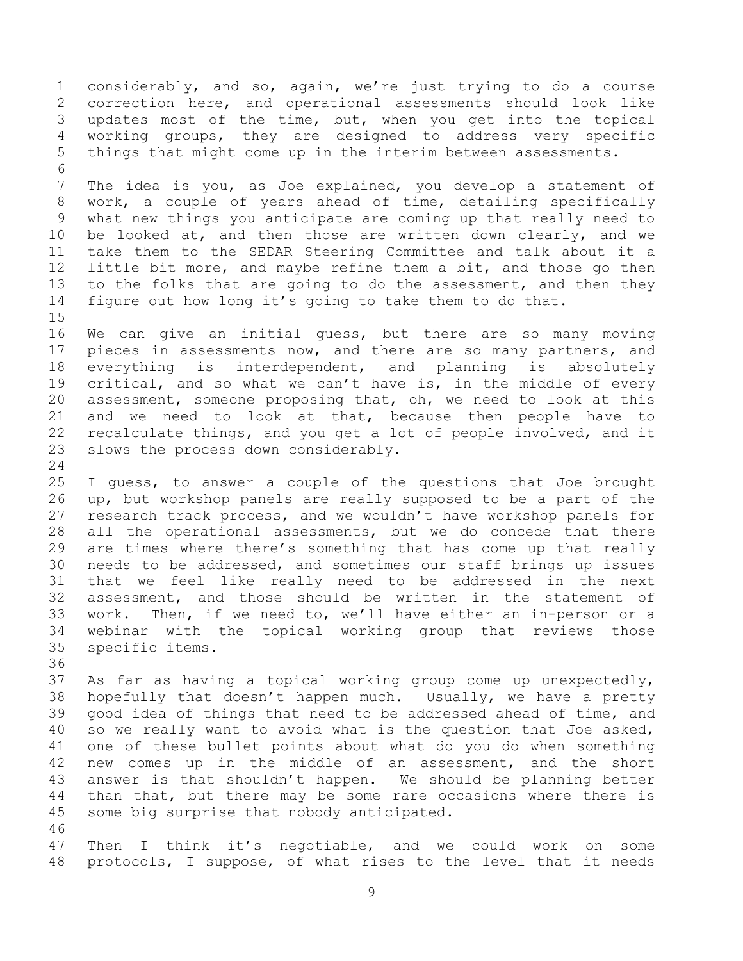considerably, and so, again, we're just trying to do a course correction here, and operational assessments should look like updates most of the time, but, when you get into the topical working groups, they are designed to address very specific things that might come up in the interim between assessments. The idea is you, as Joe explained, you develop a statement of work, a couple of years ahead of time, detailing specifically what new things you anticipate are coming up that really need to be looked at, and then those are written down clearly, and we take them to the SEDAR Steering Committee and talk about it a little bit more, and maybe refine them a bit, and those go then to the folks that are going to do the assessment, and then they figure out how long it's going to take them to do that. We can give an initial guess, but there are so many moving pieces in assessments now, and there are so many partners, and everything is interdependent, and planning is absolutely critical, and so what we can't have is, in the middle of every assessment, someone proposing that, oh, we need to look at this and we need to look at that, because then people have to recalculate things, and you get a lot of people involved, and it slows the process down considerably. I guess, to answer a couple of the questions that Joe brought up, but workshop panels are really supposed to be a part of the research track process, and we wouldn't have workshop panels for all the operational assessments, but we do concede that there are times where there's something that has come up that really needs to be addressed, and sometimes our staff brings up issues that we feel like really need to be addressed in the next assessment, and those should be written in the statement of work. Then, if we need to, we'll have either an in-person or a webinar with the topical working group that reviews those specific items. As far as having a topical working group come up unexpectedly, hopefully that doesn't happen much. Usually, we have a pretty good idea of things that need to be addressed ahead of time, and so we really want to avoid what is the question that Joe asked, one of these bullet points about what do you do when something new comes up in the middle of an assessment, and the short answer is that shouldn't happen. We should be planning better than that, but there may be some rare occasions where there is some big surprise that nobody anticipated. Then I think it's negotiable, and we could work on some protocols, I suppose, of what rises to the level that it needs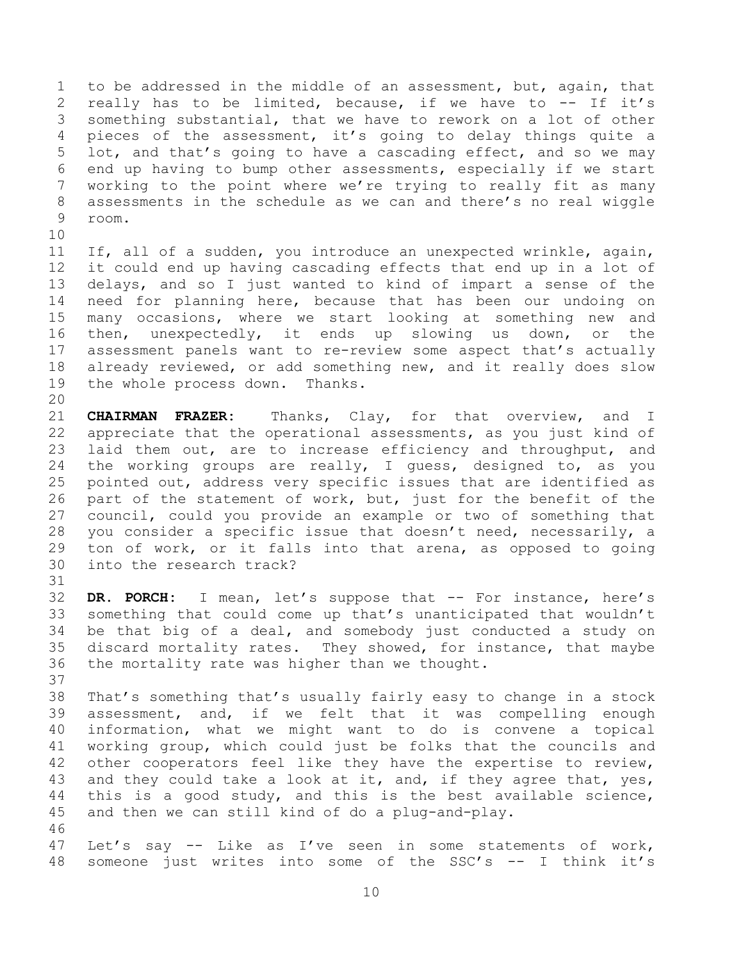to be addressed in the middle of an assessment, but, again, that 2 really has to be limited, because, if we have to -- If it's something substantial, that we have to rework on a lot of other pieces of the assessment, it's going to delay things quite a lot, and that's going to have a cascading effect, and so we may end up having to bump other assessments, especially if we start working to the point where we're trying to really fit as many assessments in the schedule as we can and there's no real wiggle room.

 If, all of a sudden, you introduce an unexpected wrinkle, again, it could end up having cascading effects that end up in a lot of delays, and so I just wanted to kind of impart a sense of the need for planning here, because that has been our undoing on many occasions, where we start looking at something new and then, unexpectedly, it ends up slowing us down, or the assessment panels want to re-review some aspect that's actually already reviewed, or add something new, and it really does slow the whole process down. Thanks.

 **CHAIRMAN FRAZER:** Thanks, Clay, for that overview, and I appreciate that the operational assessments, as you just kind of laid them out, are to increase efficiency and throughput, and the working groups are really, I guess, designed to, as you pointed out, address very specific issues that are identified as part of the statement of work, but, just for the benefit of the council, could you provide an example or two of something that you consider a specific issue that doesn't need, necessarily, a ton of work, or it falls into that arena, as opposed to going into the research track?

 **DR. PORCH:** I mean, let's suppose that -- For instance, here's something that could come up that's unanticipated that wouldn't be that big of a deal, and somebody just conducted a study on discard mortality rates. They showed, for instance, that maybe the mortality rate was higher than we thought. 

 That's something that's usually fairly easy to change in a stock assessment, and, if we felt that it was compelling enough information, what we might want to do is convene a topical working group, which could just be folks that the councils and other cooperators feel like they have the expertise to review, 43 and they could take a look at it, and, if they agree that, yes, this is a good study, and this is the best available science, and then we can still kind of do a plug-and-play. 

 Let's say -- Like as I've seen in some statements of work, someone just writes into some of the SSC's -- I think it's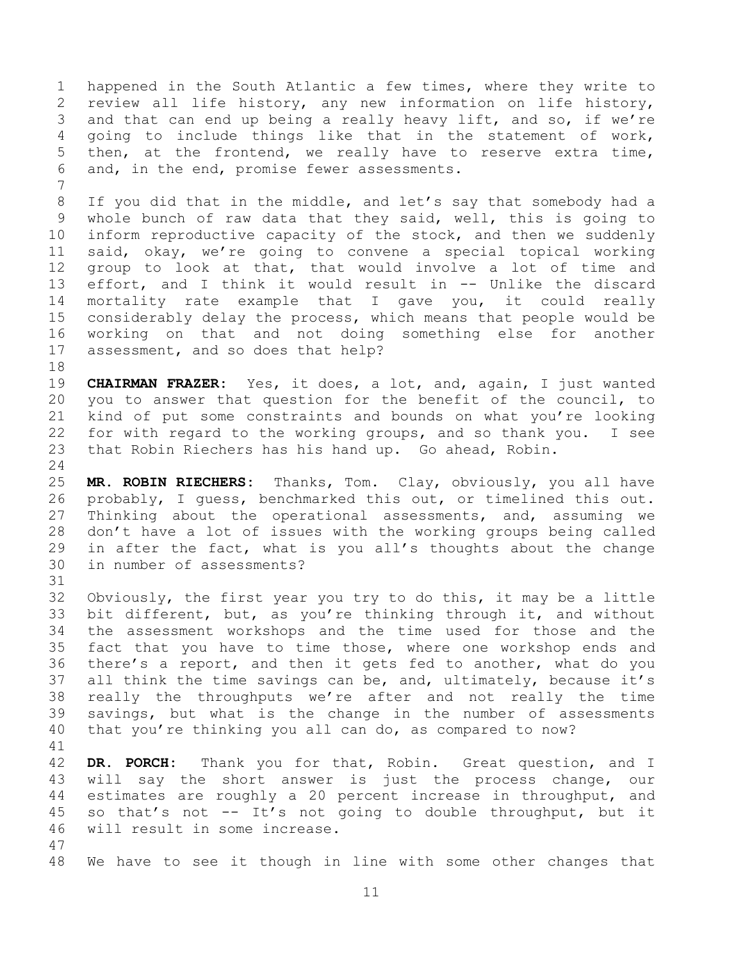happened in the South Atlantic a few times, where they write to review all life history, any new information on life history, and that can end up being a really heavy lift, and so, if we're going to include things like that in the statement of work, then, at the frontend, we really have to reserve extra time, and, in the end, promise fewer assessments.

 If you did that in the middle, and let's say that somebody had a whole bunch of raw data that they said, well, this is going to inform reproductive capacity of the stock, and then we suddenly said, okay, we're going to convene a special topical working group to look at that, that would involve a lot of time and effort, and I think it would result in -- Unlike the discard mortality rate example that I gave you, it could really considerably delay the process, which means that people would be working on that and not doing something else for another assessment, and so does that help?

 **CHAIRMAN FRAZER:** Yes, it does, a lot, and, again, I just wanted you to answer that question for the benefit of the council, to kind of put some constraints and bounds on what you're looking for with regard to the working groups, and so thank you. I see that Robin Riechers has his hand up. Go ahead, Robin.

 **MR. ROBIN RIECHERS:** Thanks, Tom. Clay, obviously, you all have probably, I guess, benchmarked this out, or timelined this out. Thinking about the operational assessments, and, assuming we don't have a lot of issues with the working groups being called in after the fact, what is you all's thoughts about the change in number of assessments?

 Obviously, the first year you try to do this, it may be a little bit different, but, as you're thinking through it, and without the assessment workshops and the time used for those and the fact that you have to time those, where one workshop ends and there's a report, and then it gets fed to another, what do you all think the time savings can be, and, ultimately, because it's really the throughputs we're after and not really the time savings, but what is the change in the number of assessments that you're thinking you all can do, as compared to now?

 **DR. PORCH:** Thank you for that, Robin. Great question, and I will say the short answer is just the process change, our estimates are roughly a 20 percent increase in throughput, and so that's not -- It's not going to double throughput, but it will result in some increase.

We have to see it though in line with some other changes that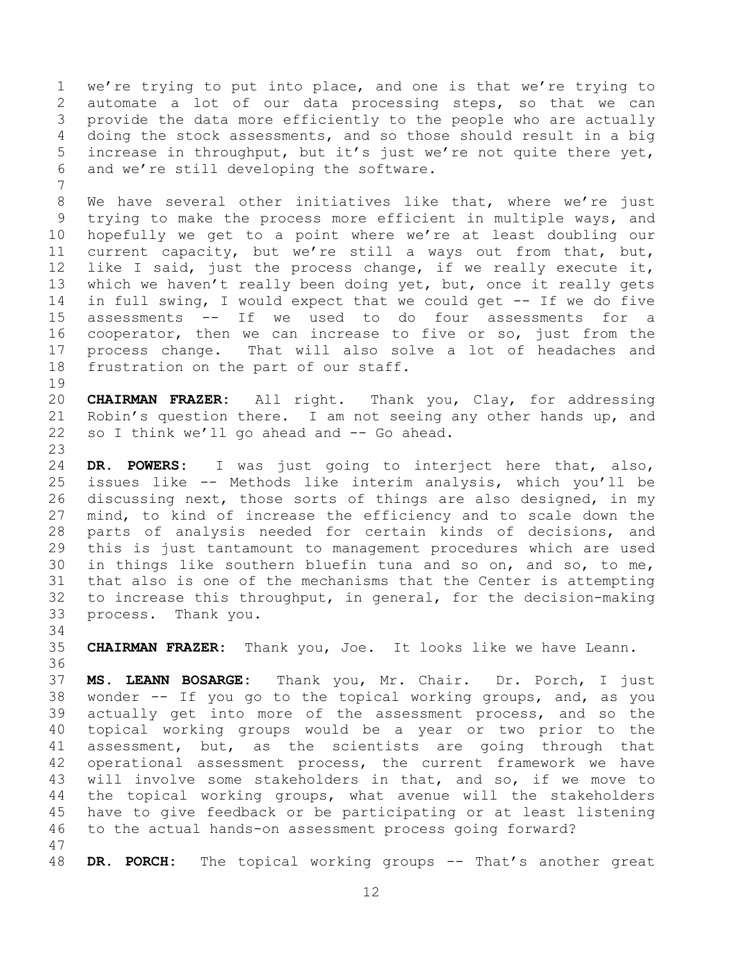we're trying to put into place, and one is that we're trying to automate a lot of our data processing steps, so that we can provide the data more efficiently to the people who are actually doing the stock assessments, and so those should result in a big increase in throughput, but it's just we're not quite there yet, and we're still developing the software. We have several other initiatives like that, where we're just trying to make the process more efficient in multiple ways, and hopefully we get to a point where we're at least doubling our current capacity, but we're still a ways out from that, but, like I said, just the process change, if we really execute it, 13 which we haven't really been doing yet, but, once it really gets in full swing, I would expect that we could get -- If we do five assessments -- If we used to do four assessments for a cooperator, then we can increase to five or so, just from the process change. That will also solve a lot of headaches and frustration on the part of our staff. 

 **CHAIRMAN FRAZER:** All right. Thank you, Clay, for addressing 21 Robin's question there. I am not seeing any other hands up, and so I think we'll go ahead and -- Go ahead. 

 **DR. POWERS:** I was just going to interject here that, also, issues like -- Methods like interim analysis, which you'll be discussing next, those sorts of things are also designed, in my mind, to kind of increase the efficiency and to scale down the parts of analysis needed for certain kinds of decisions, and this is just tantamount to management procedures which are used in things like southern bluefin tuna and so on, and so, to me, that also is one of the mechanisms that the Center is attempting to increase this throughput, in general, for the decision-making process. Thank you.

 **CHAIRMAN FRAZER:** Thank you, Joe. It looks like we have Leann. 

 **MS. LEANN BOSARGE:** Thank you, Mr. Chair. Dr. Porch, I just wonder -- If you go to the topical working groups, and, as you actually get into more of the assessment process, and so the topical working groups would be a year or two prior to the assessment, but, as the scientists are going through that operational assessment process, the current framework we have will involve some stakeholders in that, and so, if we move to the topical working groups, what avenue will the stakeholders have to give feedback or be participating or at least listening to the actual hands-on assessment process going forward? 

**DR. PORCH:** The topical working groups -- That's another great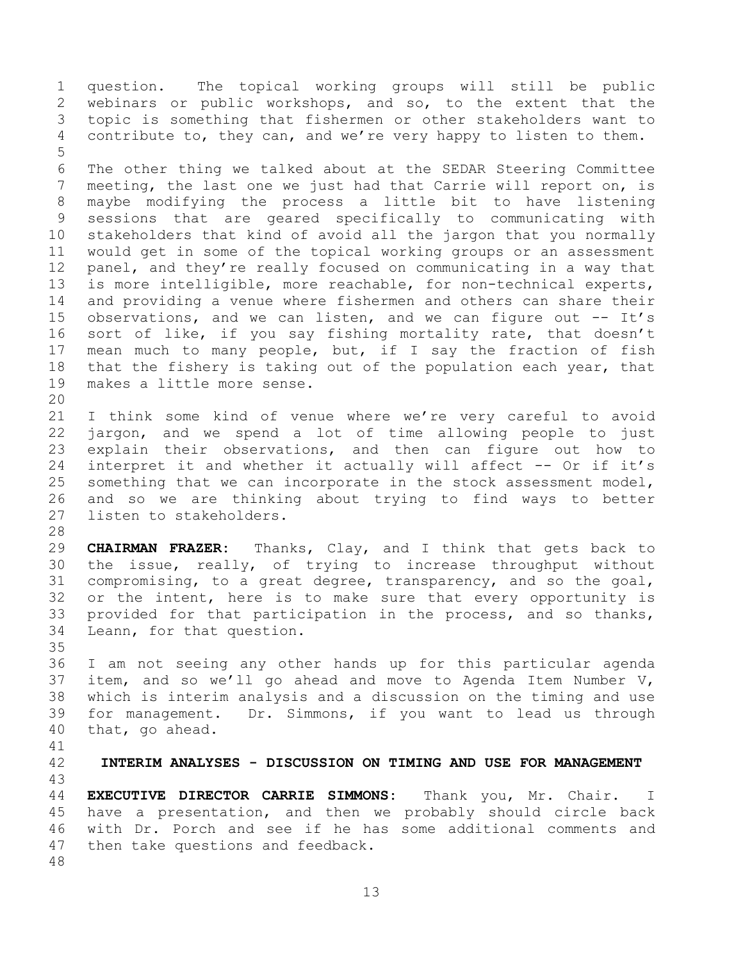question. The topical working groups will still be public webinars or public workshops, and so, to the extent that the topic is something that fishermen or other stakeholders want to contribute to, they can, and we're very happy to listen to them. 

 The other thing we talked about at the SEDAR Steering Committee meeting, the last one we just had that Carrie will report on, is maybe modifying the process a little bit to have listening sessions that are geared specifically to communicating with stakeholders that kind of avoid all the jargon that you normally would get in some of the topical working groups or an assessment panel, and they're really focused on communicating in a way that is more intelligible, more reachable, for non-technical experts, and providing a venue where fishermen and others can share their 15 observations, and we can listen, and we can figure out -- It's sort of like, if you say fishing mortality rate, that doesn't mean much to many people, but, if I say the fraction of fish 18 that the fishery is taking out of the population each year, that makes a little more sense. 

 I think some kind of venue where we're very careful to avoid jargon, and we spend a lot of time allowing people to just explain their observations, and then can figure out how to interpret it and whether it actually will affect -- Or if it's something that we can incorporate in the stock assessment model, and so we are thinking about trying to find ways to better listen to stakeholders.

 **CHAIRMAN FRAZER:** Thanks, Clay, and I think that gets back to the issue, really, of trying to increase throughput without compromising, to a great degree, transparency, and so the goal, or the intent, here is to make sure that every opportunity is provided for that participation in the process, and so thanks, Leann, for that question.

 I am not seeing any other hands up for this particular agenda item, and so we'll go ahead and move to Agenda Item Number V, which is interim analysis and a discussion on the timing and use for management. Dr. Simmons, if you want to lead us through that, go ahead.

<span id="page-12-0"></span>

**INTERIM ANALYSES - DISCUSSION ON TIMING AND USE FOR MANAGEMENT**

 **EXECUTIVE DIRECTOR CARRIE SIMMONS:** Thank you, Mr. Chair. I have a presentation, and then we probably should circle back with Dr. Porch and see if he has some additional comments and then take questions and feedback.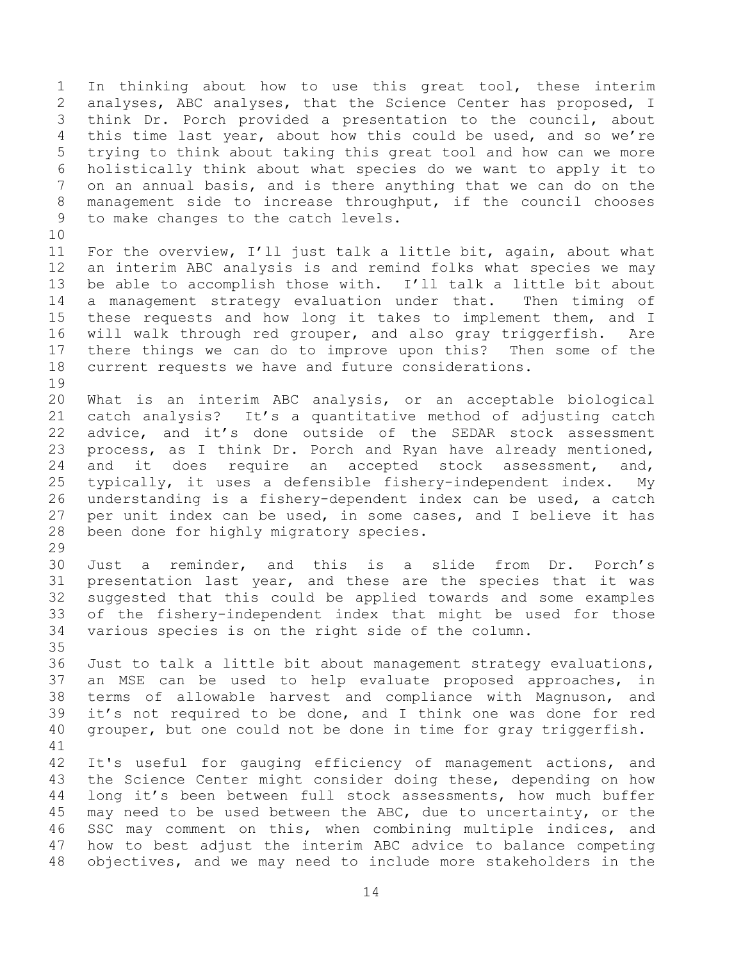In thinking about how to use this great tool, these interim analyses, ABC analyses, that the Science Center has proposed, I think Dr. Porch provided a presentation to the council, about this time last year, about how this could be used, and so we're trying to think about taking this great tool and how can we more holistically think about what species do we want to apply it to on an annual basis, and is there anything that we can do on the management side to increase throughput, if the council chooses to make changes to the catch levels. 

 For the overview, I'll just talk a little bit, again, about what an interim ABC analysis is and remind folks what species we may be able to accomplish those with. I'll talk a little bit about a management strategy evaluation under that. Then timing of these requests and how long it takes to implement them, and I will walk through red grouper, and also gray triggerfish. Are there things we can do to improve upon this? Then some of the current requests we have and future considerations. 

 What is an interim ABC analysis, or an acceptable biological catch analysis? It's a quantitative method of adjusting catch advice, and it's done outside of the SEDAR stock assessment process, as I think Dr. Porch and Ryan have already mentioned, and it does require an accepted stock assessment, and, typically, it uses a defensible fishery-independent index. My understanding is a fishery-dependent index can be used, a catch per unit index can be used, in some cases, and I believe it has been done for highly migratory species.

 Just a reminder, and this is a slide from Dr. Porch's presentation last year, and these are the species that it was suggested that this could be applied towards and some examples of the fishery-independent index that might be used for those various species is on the right side of the column.

 Just to talk a little bit about management strategy evaluations, an MSE can be used to help evaluate proposed approaches, in terms of allowable harvest and compliance with Magnuson, and it's not required to be done, and I think one was done for red grouper, but one could not be done in time for gray triggerfish. 

 It's useful for gauging efficiency of management actions, and the Science Center might consider doing these, depending on how long it's been between full stock assessments, how much buffer may need to be used between the ABC, due to uncertainty, or the SSC may comment on this, when combining multiple indices, and how to best adjust the interim ABC advice to balance competing objectives, and we may need to include more stakeholders in the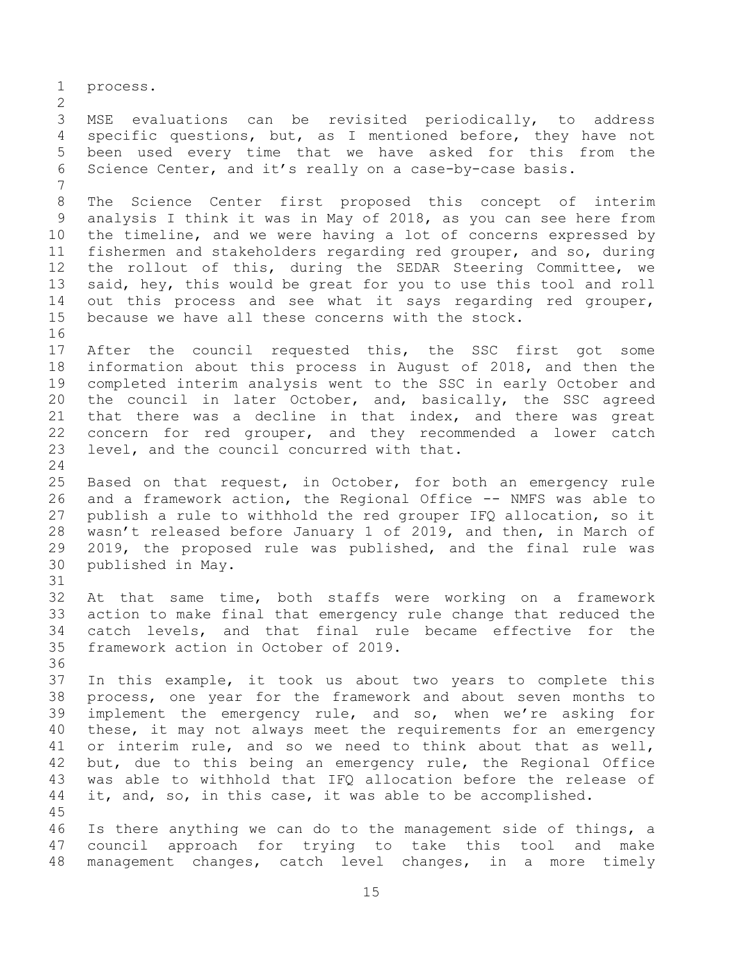process. MSE evaluations can be revisited periodically, to address specific questions, but, as I mentioned before, they have not been used every time that we have asked for this from the Science Center, and it's really on a case-by-case basis. The Science Center first proposed this concept of interim analysis I think it was in May of 2018, as you can see here from the timeline, and we were having a lot of concerns expressed by fishermen and stakeholders regarding red grouper, and so, during the rollout of this, during the SEDAR Steering Committee, we said, hey, this would be great for you to use this tool and roll out this process and see what it says regarding red grouper, because we have all these concerns with the stock. After the council requested this, the SSC first got some information about this process in August of 2018, and then the completed interim analysis went to the SSC in early October and the council in later October, and, basically, the SSC agreed that there was a decline in that index, and there was great concern for red grouper, and they recommended a lower catch level, and the council concurred with that. Based on that request, in October, for both an emergency rule and a framework action, the Regional Office -- NMFS was able to publish a rule to withhold the red grouper IFQ allocation, so it wasn't released before January 1 of 2019, and then, in March of 2019, the proposed rule was published, and the final rule was published in May. At that same time, both staffs were working on a framework action to make final that emergency rule change that reduced the catch levels, and that final rule became effective for the framework action in October of 2019. In this example, it took us about two years to complete this process, one year for the framework and about seven months to implement the emergency rule, and so, when we're asking for these, it may not always meet the requirements for an emergency or interim rule, and so we need to think about that as well, but, due to this being an emergency rule, the Regional Office was able to withhold that IFQ allocation before the release of 44 it, and, so, in this case, it was able to be accomplished. Is there anything we can do to the management side of things, a council approach for trying to take this tool and make management changes, catch level changes, in a more timely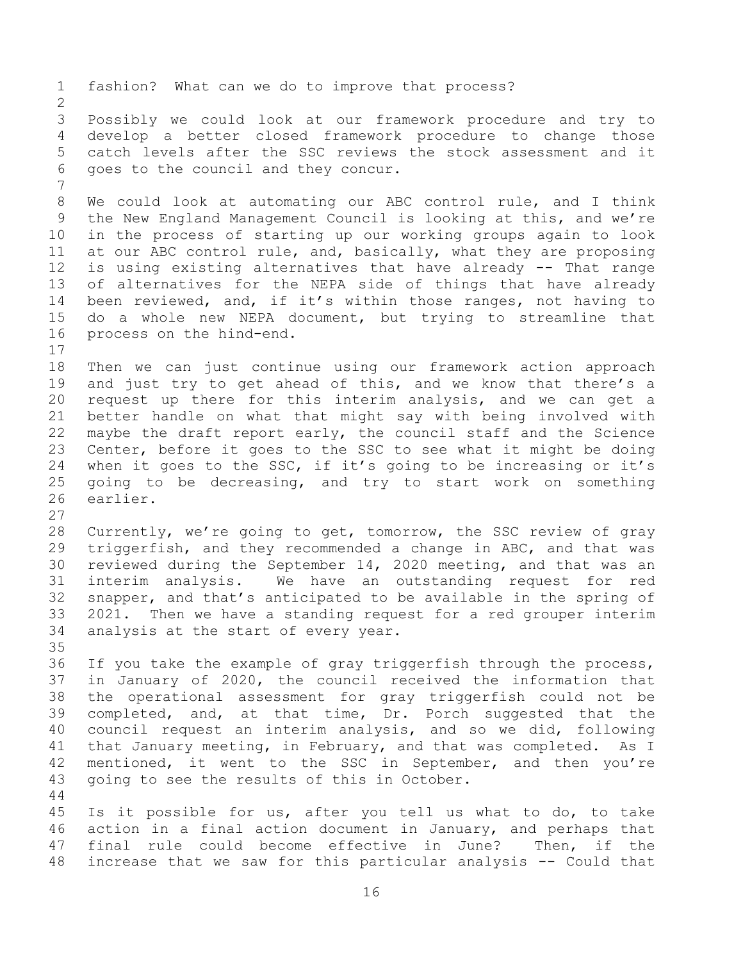fashion? What can we do to improve that process? Possibly we could look at our framework procedure and try to develop a better closed framework procedure to change those catch levels after the SSC reviews the stock assessment and it goes to the council and they concur. We could look at automating our ABC control rule, and I think the New England Management Council is looking at this, and we're in the process of starting up our working groups again to look at our ABC control rule, and, basically, what they are proposing is using existing alternatives that have already -- That range of alternatives for the NEPA side of things that have already been reviewed, and, if it's within those ranges, not having to do a whole new NEPA document, but trying to streamline that process on the hind-end. Then we can just continue using our framework action approach and just try to get ahead of this, and we know that there's a request up there for this interim analysis, and we can get a better handle on what that might say with being involved with maybe the draft report early, the council staff and the Science Center, before it goes to the SSC to see what it might be doing when it goes to the SSC, if it's going to be increasing or it's going to be decreasing, and try to start work on something earlier. Currently, we're going to get, tomorrow, the SSC review of gray triggerfish, and they recommended a change in ABC, and that was reviewed during the September 14, 2020 meeting, and that was an interim analysis. We have an outstanding request for red snapper, and that's anticipated to be available in the spring of 2021. Then we have a standing request for a red grouper interim analysis at the start of every year. If you take the example of gray triggerfish through the process, in January of 2020, the council received the information that the operational assessment for gray triggerfish could not be completed, and, at that time, Dr. Porch suggested that the council request an interim analysis, and so we did, following that January meeting, in February, and that was completed. As I 42 mentioned, it went to the SSC in September, and then you're going to see the results of this in October. Is it possible for us, after you tell us what to do, to take action in a final action document in January, and perhaps that final rule could become effective in June? Then, if the increase that we saw for this particular analysis -- Could that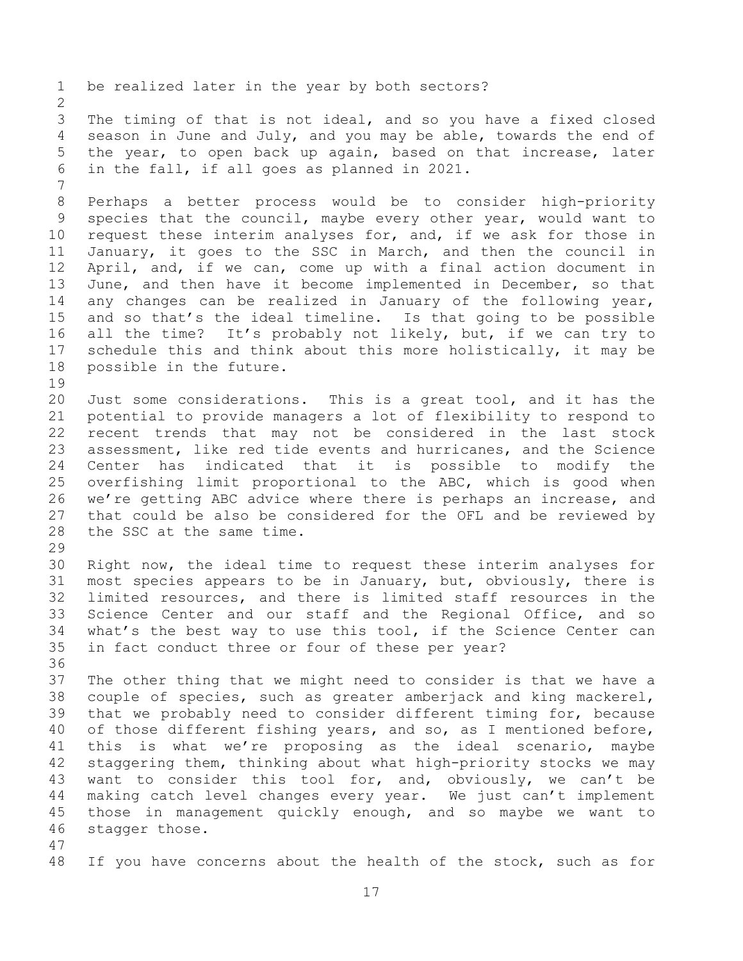be realized later in the year by both sectors? The timing of that is not ideal, and so you have a fixed closed season in June and July, and you may be able, towards the end of the year, to open back up again, based on that increase, later in the fall, if all goes as planned in 2021. Perhaps a better process would be to consider high-priority species that the council, maybe every other year, would want to request these interim analyses for, and, if we ask for those in January, it goes to the SSC in March, and then the council in April, and, if we can, come up with a final action document in June, and then have it become implemented in December, so that any changes can be realized in January of the following year, and so that's the ideal timeline. Is that going to be possible all the time? It's probably not likely, but, if we can try to schedule this and think about this more holistically, it may be possible in the future. Just some considerations. This is a great tool, and it has the potential to provide managers a lot of flexibility to respond to recent trends that may not be considered in the last stock assessment, like red tide events and hurricanes, and the Science Center has indicated that it is possible to modify the overfishing limit proportional to the ABC, which is good when we're getting ABC advice where there is perhaps an increase, and that could be also be considered for the OFL and be reviewed by the SSC at the same time. Right now, the ideal time to request these interim analyses for most species appears to be in January, but, obviously, there is limited resources, and there is limited staff resources in the Science Center and our staff and the Regional Office, and so what's the best way to use this tool, if the Science Center can in fact conduct three or four of these per year? The other thing that we might need to consider is that we have a couple of species, such as greater amberjack and king mackerel, that we probably need to consider different timing for, because of those different fishing years, and so, as I mentioned before, this is what we're proposing as the ideal scenario, maybe staggering them, thinking about what high-priority stocks we may want to consider this tool for, and, obviously, we can't be making catch level changes every year. We just can't implement those in management quickly enough, and so maybe we want to stagger those. If you have concerns about the health of the stock, such as for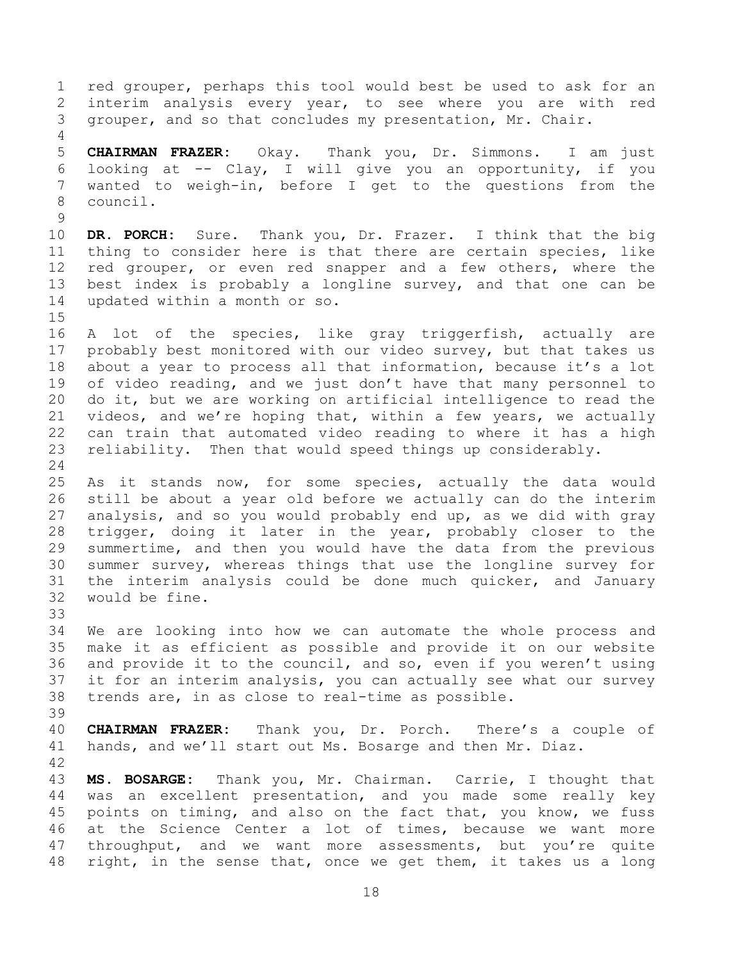red grouper, perhaps this tool would best be used to ask for an interim analysis every year, to see where you are with red grouper, and so that concludes my presentation, Mr. Chair. **CHAIRMAN FRAZER:** Okay. Thank you, Dr. Simmons. I am just looking at -- Clay, I will give you an opportunity, if you wanted to weigh-in, before I get to the questions from the council. **DR. PORCH:** Sure. Thank you, Dr. Frazer. I think that the big thing to consider here is that there are certain species, like 12 red grouper, or even red snapper and a few others, where the best index is probably a longline survey, and that one can be updated within a month or so. A lot of the species, like gray triggerfish, actually are probably best monitored with our video survey, but that takes us about a year to process all that information, because it's a lot of video reading, and we just don't have that many personnel to do it, but we are working on artificial intelligence to read the videos, and we're hoping that, within a few years, we actually can train that automated video reading to where it has a high reliability. Then that would speed things up considerably. As it stands now, for some species, actually the data would still be about a year old before we actually can do the interim analysis, and so you would probably end up, as we did with gray trigger, doing it later in the year, probably closer to the summertime, and then you would have the data from the previous summer survey, whereas things that use the longline survey for the interim analysis could be done much quicker, and January would be fine. We are looking into how we can automate the whole process and make it as efficient as possible and provide it on our website and provide it to the council, and so, even if you weren't using it for an interim analysis, you can actually see what our survey trends are, in as close to real-time as possible. **CHAIRMAN FRAZER:** Thank you, Dr. Porch. There's a couple of hands, and we'll start out Ms. Bosarge and then Mr. Diaz. **MS. BOSARGE:** Thank you, Mr. Chairman. Carrie, I thought that was an excellent presentation, and you made some really key points on timing, and also on the fact that, you know, we fuss at the Science Center a lot of times, because we want more 47 throughput, and we want more assessments, but you're quite right, in the sense that, once we get them, it takes us a long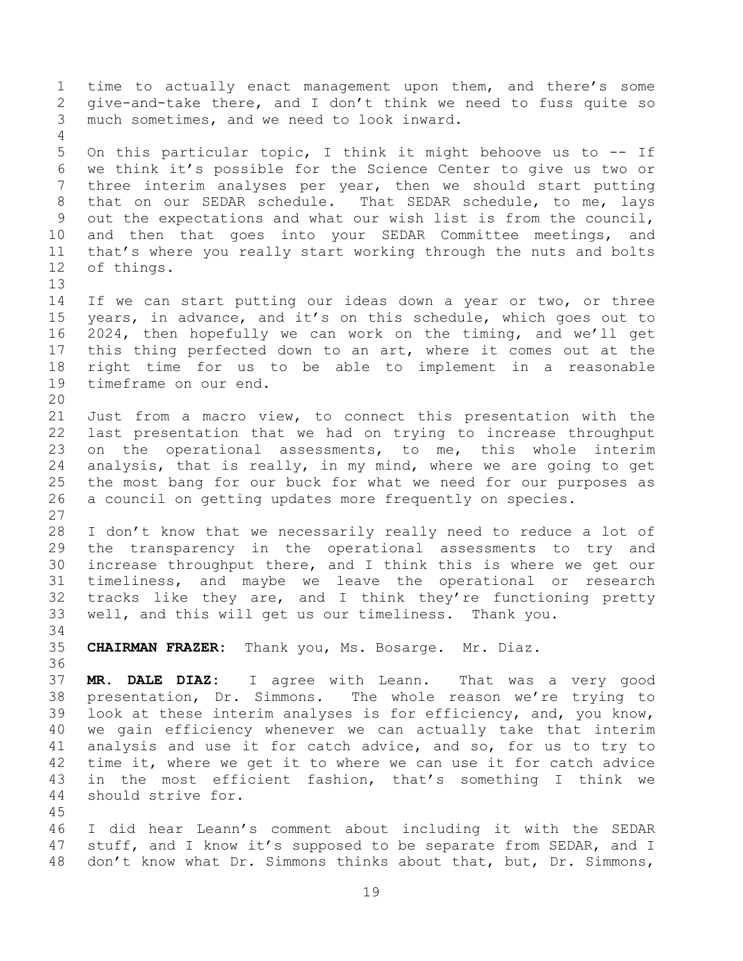time to actually enact management upon them, and there's some give-and-take there, and I don't think we need to fuss quite so much sometimes, and we need to look inward. On this particular topic, I think it might behoove us to -- If we think it's possible for the Science Center to give us two or three interim analyses per year, then we should start putting that on our SEDAR schedule. That SEDAR schedule, to me, lays out the expectations and what our wish list is from the council, and then that goes into your SEDAR Committee meetings, and that's where you really start working through the nuts and bolts of things. If we can start putting our ideas down a year or two, or three years, in advance, and it's on this schedule, which goes out to 2024, then hopefully we can work on the timing, and we'll get this thing perfected down to an art, where it comes out at the right time for us to be able to implement in a reasonable timeframe on our end. Just from a macro view, to connect this presentation with the last presentation that we had on trying to increase throughput on the operational assessments, to me, this whole interim analysis, that is really, in my mind, where we are going to get the most bang for our buck for what we need for our purposes as a council on getting updates more frequently on species. I don't know that we necessarily really need to reduce a lot of the transparency in the operational assessments to try and increase throughput there, and I think this is where we get our timeliness, and maybe we leave the operational or research tracks like they are, and I think they're functioning pretty well, and this will get us our timeliness. Thank you. **CHAIRMAN FRAZER:** Thank you, Ms. Bosarge. Mr. Diaz. **MR. DALE DIAZ:** I agree with Leann. That was a very good presentation, Dr. Simmons. The whole reason we're trying to look at these interim analyses is for efficiency, and, you know, we gain efficiency whenever we can actually take that interim analysis and use it for catch advice, and so, for us to try to time it, where we get it to where we can use it for catch advice in the most efficient fashion, that's something I think we should strive for. I did hear Leann's comment about including it with the SEDAR 47 stuff, and I know it's supposed to be separate from SEDAR, and I don't know what Dr. Simmons thinks about that, but, Dr. Simmons,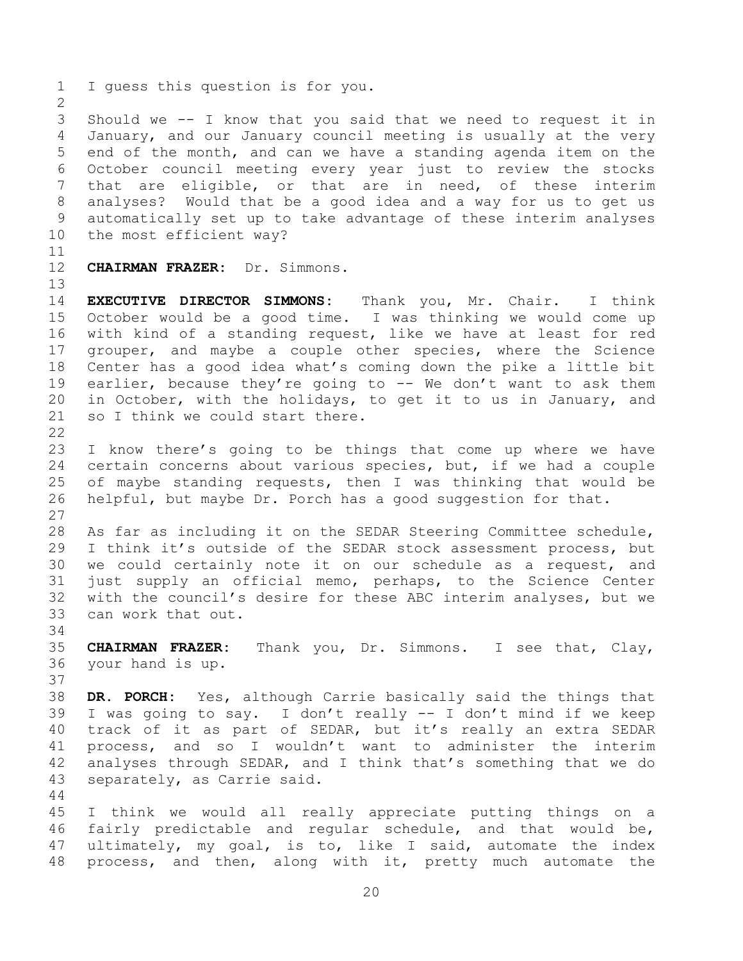Should we -- I know that you said that we need to request it in January, and our January council meeting is usually at the very end of the month, and can we have a standing agenda item on the October council meeting every year just to review the stocks that are eligible, or that are in need, of these interim analyses? Would that be a good idea and a way for us to get us automatically set up to take advantage of these interim analyses the most efficient way?

**CHAIRMAN FRAZER:** Dr. Simmons.

I guess this question is for you.

 **EXECUTIVE DIRECTOR SIMMONS:** Thank you, Mr. Chair. I think October would be a good time. I was thinking we would come up with kind of a standing request, like we have at least for red grouper, and maybe a couple other species, where the Science Center has a good idea what's coming down the pike a little bit earlier, because they're going to -- We don't want to ask them in October, with the holidays, to get it to us in January, and 21 so I think we could start there.

 I know there's going to be things that come up where we have certain concerns about various species, but, if we had a couple of maybe standing requests, then I was thinking that would be helpful, but maybe Dr. Porch has a good suggestion for that. 

 As far as including it on the SEDAR Steering Committee schedule, I think it's outside of the SEDAR stock assessment process, but we could certainly note it on our schedule as a request, and just supply an official memo, perhaps, to the Science Center with the council's desire for these ABC interim analyses, but we can work that out.

 **CHAIRMAN FRAZER:** Thank you, Dr. Simmons. I see that, Clay, your hand is up.

 **DR. PORCH:** Yes, although Carrie basically said the things that I was going to say. I don't really -- I don't mind if we keep track of it as part of SEDAR, but it's really an extra SEDAR process, and so I wouldn't want to administer the interim analyses through SEDAR, and I think that's something that we do separately, as Carrie said.

 I think we would all really appreciate putting things on a fairly predictable and regular schedule, and that would be, ultimately, my goal, is to, like I said, automate the index process, and then, along with it, pretty much automate the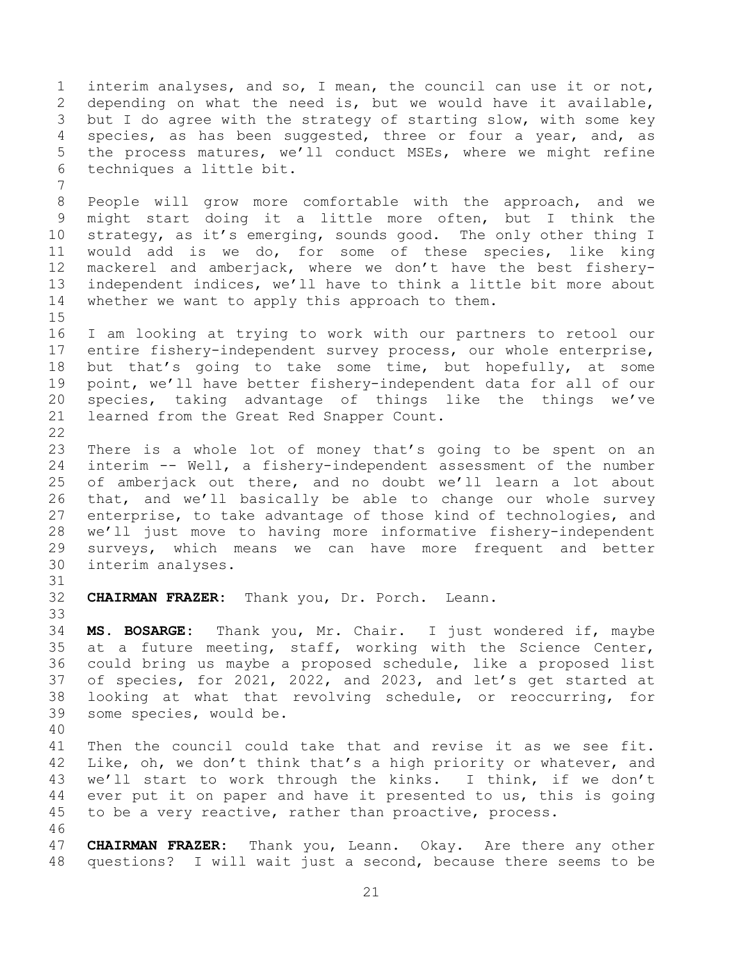interim analyses, and so, I mean, the council can use it or not, depending on what the need is, but we would have it available, but I do agree with the strategy of starting slow, with some key species, as has been suggested, three or four a year, and, as the process matures, we'll conduct MSEs, where we might refine techniques a little bit.

 People will grow more comfortable with the approach, and we might start doing it a little more often, but I think the strategy, as it's emerging, sounds good. The only other thing I would add is we do, for some of these species, like king mackerel and amberjack, where we don't have the best fishery- independent indices, we'll have to think a little bit more about whether we want to apply this approach to them.

 I am looking at trying to work with our partners to retool our entire fishery-independent survey process, our whole enterprise, but that's going to take some time, but hopefully, at some point, we'll have better fishery-independent data for all of our species, taking advantage of things like the things we've learned from the Great Red Snapper Count. 

 There is a whole lot of money that's going to be spent on an interim -- Well, a fishery-independent assessment of the number of amberjack out there, and no doubt we'll learn a lot about that, and we'll basically be able to change our whole survey enterprise, to take advantage of those kind of technologies, and we'll just move to having more informative fishery-independent surveys, which means we can have more frequent and better interim analyses.

**CHAIRMAN FRAZER:** Thank you, Dr. Porch. Leann.

 **MS. BOSARGE:** Thank you, Mr. Chair. I just wondered if, maybe at a future meeting, staff, working with the Science Center, could bring us maybe a proposed schedule, like a proposed list of species, for 2021, 2022, and 2023, and let's get started at looking at what that revolving schedule, or reoccurring, for some species, would be.

 Then the council could take that and revise it as we see fit. 42 Like, oh, we don't think that's a high priority or whatever, and we'll start to work through the kinks. I think, if we don't ever put it on paper and have it presented to us, this is going to be a very reactive, rather than proactive, process.

 **CHAIRMAN FRAZER:** Thank you, Leann. Okay. Are there any other questions? I will wait just a second, because there seems to be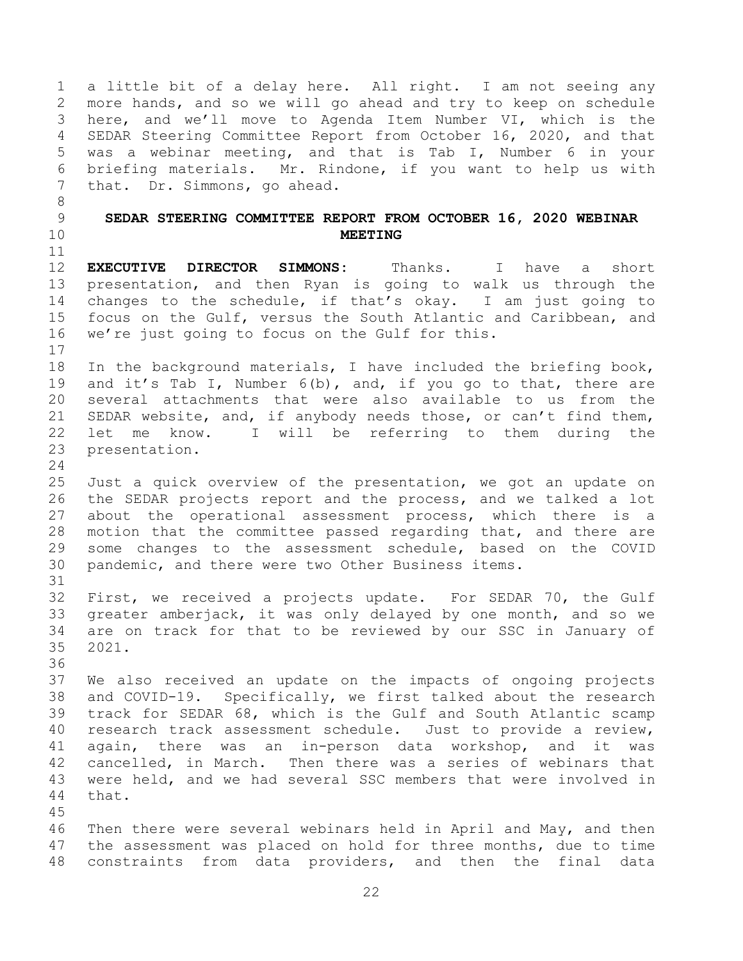<span id="page-21-0"></span> a little bit of a delay here. All right. I am not seeing any more hands, and so we will go ahead and try to keep on schedule here, and we'll move to Agenda Item Number VI, which is the SEDAR Steering Committee Report from October 16, 2020, and that was a webinar meeting, and that is Tab I, Number 6 in your briefing materials. Mr. Rindone, if you want to help us with that. Dr. Simmons, go ahead. **SEDAR STEERING COMMITTEE REPORT FROM OCTOBER 16, 2020 WEBINAR MEETING EXECUTIVE DIRECTOR SIMMONS:** Thanks. I have a short presentation, and then Ryan is going to walk us through the changes to the schedule, if that's okay. I am just going to focus on the Gulf, versus the South Atlantic and Caribbean, and we're just going to focus on the Gulf for this. In the background materials, I have included the briefing book, and it's Tab I, Number 6(b), and, if you go to that, there are several attachments that were also available to us from the SEDAR website, and, if anybody needs those, or can't find them, let me know. I will be referring to them during the presentation. Just a quick overview of the presentation, we got an update on the SEDAR projects report and the process, and we talked a lot about the operational assessment process, which there is a motion that the committee passed regarding that, and there are some changes to the assessment schedule, based on the COVID pandemic, and there were two Other Business items. First, we received a projects update. For SEDAR 70, the Gulf greater amberjack, it was only delayed by one month, and so we are on track for that to be reviewed by our SSC in January of 2021. We also received an update on the impacts of ongoing projects and COVID-19. Specifically, we first talked about the research track for SEDAR 68, which is the Gulf and South Atlantic scamp research track assessment schedule. Just to provide a review, again, there was an in-person data workshop, and it was cancelled, in March. Then there was a series of webinars that were held, and we had several SSC members that were involved in that. Then there were several webinars held in April and May, and then the assessment was placed on hold for three months, due to time constraints from data providers, and then the final data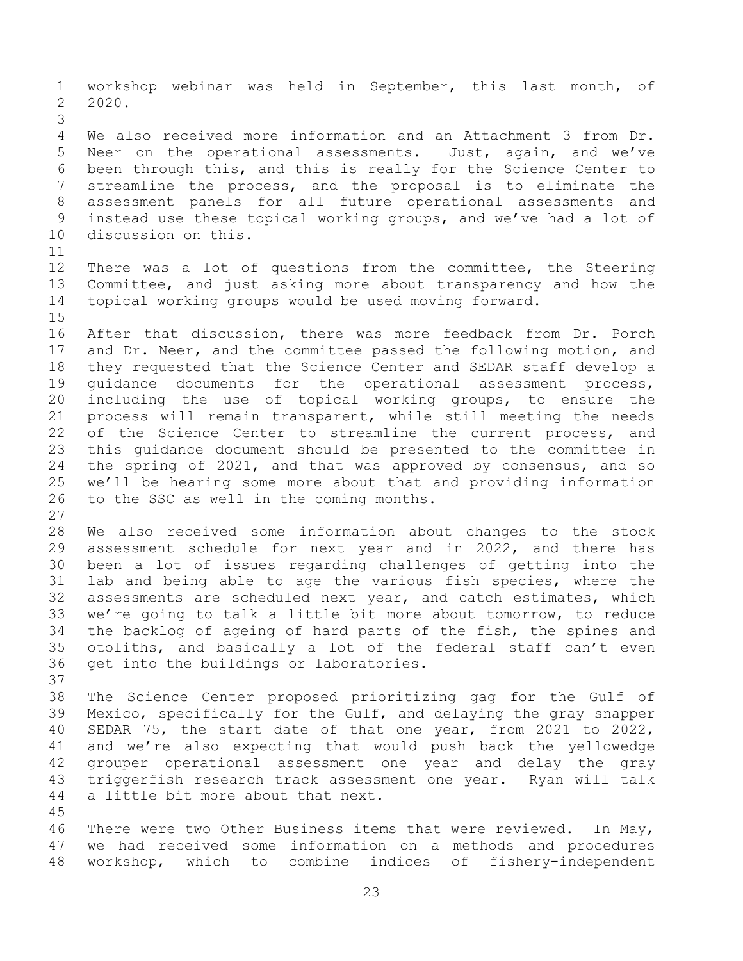workshop webinar was held in September, this last month, of 2020. We also received more information and an Attachment 3 from Dr. Neer on the operational assessments. Just, again, and we've been through this, and this is really for the Science Center to streamline the process, and the proposal is to eliminate the assessment panels for all future operational assessments and instead use these topical working groups, and we've had a lot of discussion on this. There was a lot of questions from the committee, the Steering Committee, and just asking more about transparency and how the topical working groups would be used moving forward. After that discussion, there was more feedback from Dr. Porch 17 and Dr. Neer, and the committee passed the following motion, and they requested that the Science Center and SEDAR staff develop a guidance documents for the operational assessment process, including the use of topical working groups, to ensure the process will remain transparent, while still meeting the needs 22 of the Science Center to streamline the current process, and this guidance document should be presented to the committee in the spring of 2021, and that was approved by consensus, and so we'll be hearing some more about that and providing information to the SSC as well in the coming months. We also received some information about changes to the stock assessment schedule for next year and in 2022, and there has been a lot of issues regarding challenges of getting into the lab and being able to age the various fish species, where the assessments are scheduled next year, and catch estimates, which we're going to talk a little bit more about tomorrow, to reduce the backlog of ageing of hard parts of the fish, the spines and otoliths, and basically a lot of the federal staff can't even get into the buildings or laboratories. The Science Center proposed prioritizing gag for the Gulf of Mexico, specifically for the Gulf, and delaying the gray snapper SEDAR 75, the start date of that one year, from 2021 to 2022, and we're also expecting that would push back the yellowedge grouper operational assessment one year and delay the gray triggerfish research track assessment one year. Ryan will talk a little bit more about that next. There were two Other Business items that were reviewed. In May, we had received some information on a methods and procedures workshop, which to combine indices of fishery-independent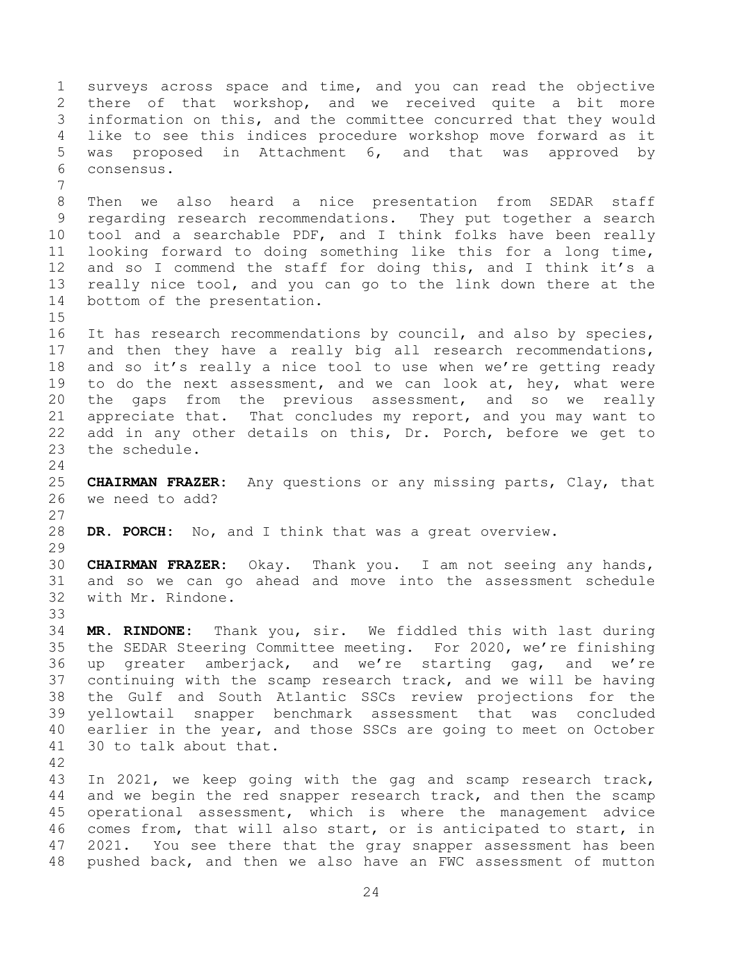surveys across space and time, and you can read the objective there of that workshop, and we received quite a bit more information on this, and the committee concurred that they would like to see this indices procedure workshop move forward as it was proposed in Attachment 6, and that was approved by consensus. Then we also heard a nice presentation from SEDAR staff regarding research recommendations. They put together a search tool and a searchable PDF, and I think folks have been really looking forward to doing something like this for a long time, and so I commend the staff for doing this, and I think it's a really nice tool, and you can go to the link down there at the bottom of the presentation. It has research recommendations by council, and also by species, and then they have a really big all research recommendations, and so it's really a nice tool to use when we're getting ready 19 to do the next assessment, and we can look at, hey, what were the gaps from the previous assessment, and so we really appreciate that. That concludes my report, and you may want to add in any other details on this, Dr. Porch, before we get to the schedule. **CHAIRMAN FRAZER:** Any questions or any missing parts, Clay, that we need to add? **DR. PORCH:** No, and I think that was a great overview. **CHAIRMAN FRAZER:** Okay. Thank you. I am not seeing any hands, and so we can go ahead and move into the assessment schedule with Mr. Rindone. **MR. RINDONE:** Thank you, sir. We fiddled this with last during the SEDAR Steering Committee meeting. For 2020, we're finishing up greater amberjack, and we're starting gag, and we're continuing with the scamp research track, and we will be having the Gulf and South Atlantic SSCs review projections for the yellowtail snapper benchmark assessment that was concluded earlier in the year, and those SSCs are going to meet on October 30 to talk about that. In 2021, we keep going with the gag and scamp research track, and we begin the red snapper research track, and then the scamp operational assessment, which is where the management advice comes from, that will also start, or is anticipated to start, in 2021. You see there that the gray snapper assessment has been

pushed back, and then we also have an FWC assessment of mutton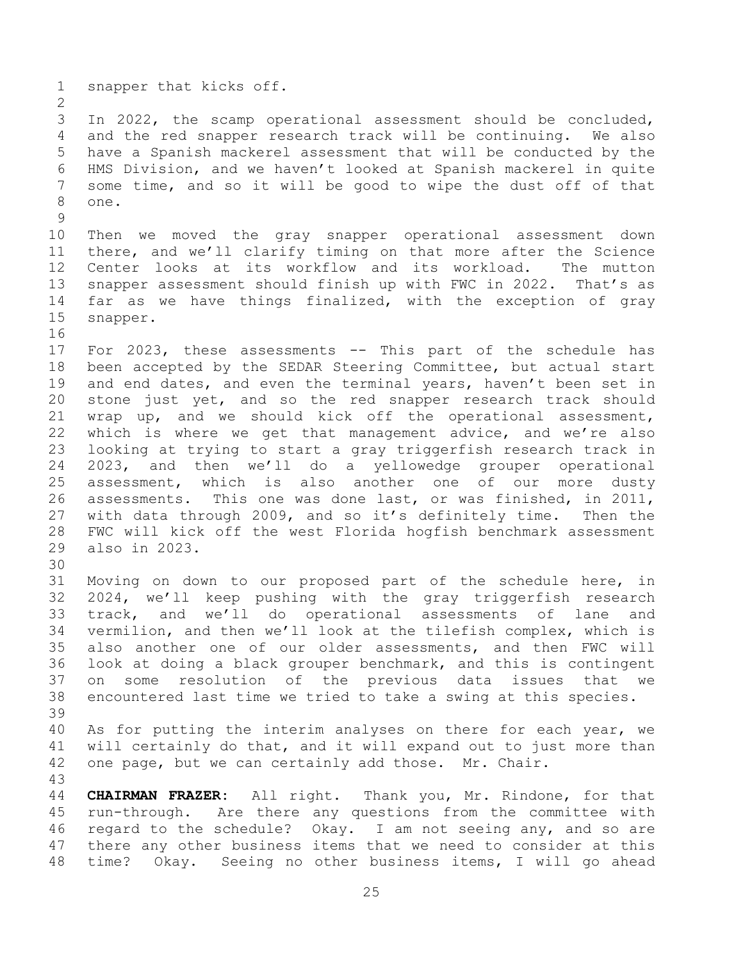snapper that kicks off.

 In 2022, the scamp operational assessment should be concluded, and the red snapper research track will be continuing. We also have a Spanish mackerel assessment that will be conducted by the HMS Division, and we haven't looked at Spanish mackerel in quite some time, and so it will be good to wipe the dust off of that one.

 Then we moved the gray snapper operational assessment down there, and we'll clarify timing on that more after the Science Center looks at its workflow and its workload. The mutton snapper assessment should finish up with FWC in 2022. That's as far as we have things finalized, with the exception of gray snapper.

- For 2023, these assessments -- This part of the schedule has been accepted by the SEDAR Steering Committee, but actual start and end dates, and even the terminal years, haven't been set in stone just yet, and so the red snapper research track should wrap up, and we should kick off the operational assessment, which is where we get that management advice, and we're also looking at trying to start a gray triggerfish research track in 2023, and then we'll do a yellowedge grouper operational assessment, which is also another one of our more dusty assessments. This one was done last, or was finished, in 2011, with data through 2009, and so it's definitely time. Then the FWC will kick off the west Florida hogfish benchmark assessment also in 2023.
- 

 Moving on down to our proposed part of the schedule here, in 2024, we'll keep pushing with the gray triggerfish research track, and we'll do operational assessments of lane and vermilion, and then we'll look at the tilefish complex, which is also another one of our older assessments, and then FWC will look at doing a black grouper benchmark, and this is contingent on some resolution of the previous data issues that we encountered last time we tried to take a swing at this species. 

 As for putting the interim analyses on there for each year, we will certainly do that, and it will expand out to just more than one page, but we can certainly add those. Mr. Chair.

 **CHAIRMAN FRAZER:** All right. Thank you, Mr. Rindone, for that run-through. Are there any questions from the committee with regard to the schedule? Okay. I am not seeing any, and so are there any other business items that we need to consider at this time? Okay. Seeing no other business items, I will go ahead